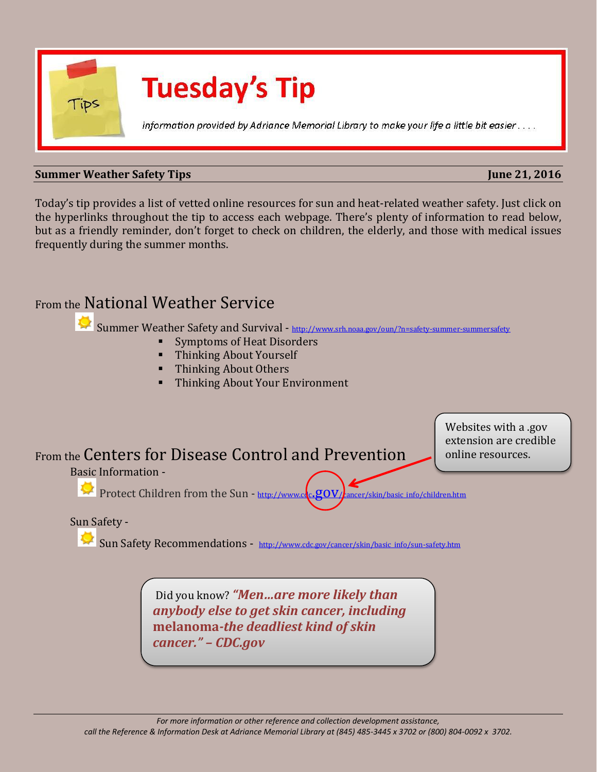

# **Tuesday's Tip**

information provided by Adriance Memorial Library to make your life a little bit easier....

# **Summer Weather Safety Tips** *June 21, 2016*

Today's tip provides a list of vetted online resources for sun and heat-related weather safety. Just click on the hyperlinks throughout the tip to access each webpage. There's plenty of information to read below, but as a friendly reminder, don't forget to check on children, the elderly, and those with medical issues frequently during the summer months.

# From the National Weather Service

Summer Weather Safety and Survival - <http://www.srh.noaa.gov/oun/?n=safety-summer-summersafety>

- Symptoms of Heat Disorders
- **Thinking About Yourself**
- Thinking About Others
- **Thinking About Your Environment**

# From the Centers for Disease Control and Prevention

Websites with a .gov extension are credible online resources.

Basic Information -

Protect Children from the Sun - http://www.co.c.gov/ $\frac{1}{2}$ ancer/skin/basic\_info/children.htm

# Sun Safety -

Sun Safety Recommendations - [http://www.cdc.gov/cancer/skin/basic\\_info/sun-safety.htm](http://www.cdc.gov/cancer/skin/basic_info/sun-safety.htm)

Did you know? *"Men…are more likely than anybody else to get skin cancer, including*  **melanoma***-the deadliest kind of skin cancer." – CDC.gov*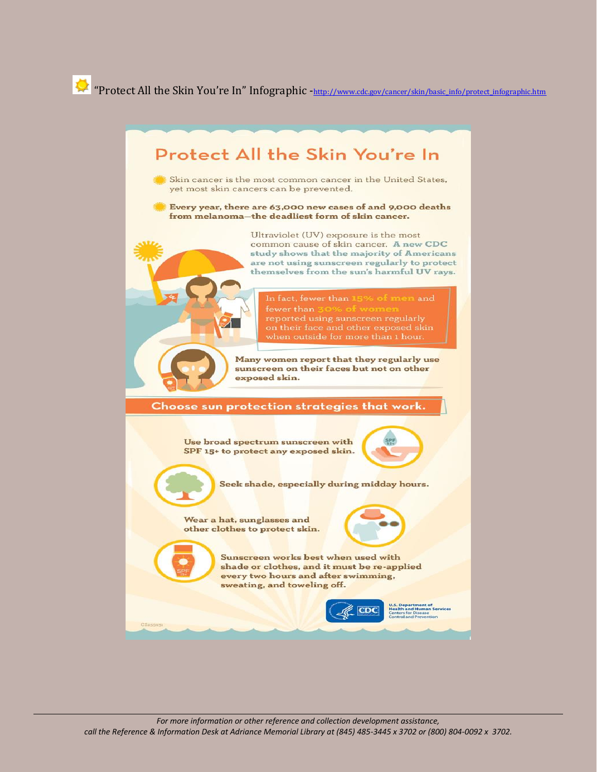"Protect All the Skin You're In" Infographic -[http://www.cdc.gov/cancer/skin/basic\\_info/protect\\_infographic.htm](http://www.cdc.gov/cancer/skin/basic_info/protect_infographic.htm)

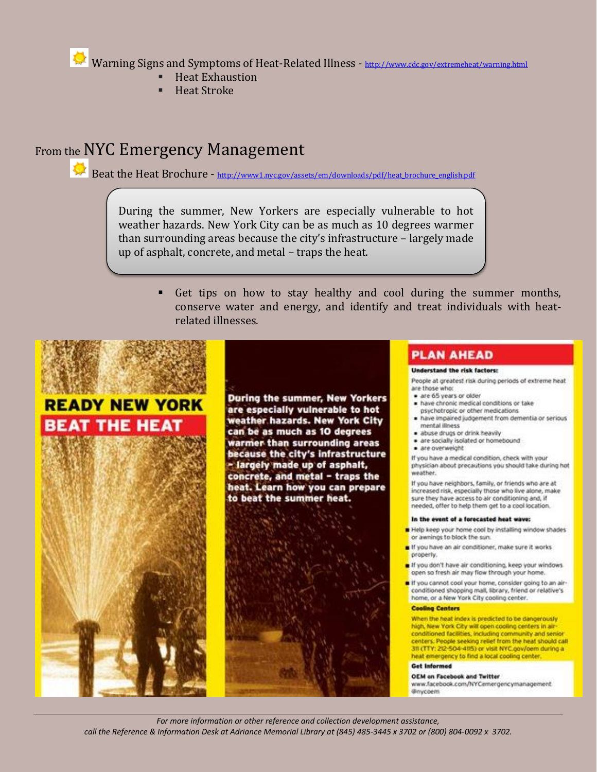Warning Signs and Symptoms of Heat-Related Illness - <http://www.cdc.gov/extremeheat/warning.html>

- Heat Exhaustion
- Heat Stroke

# From the NYC Emergency Management

Beat the Heat Brochure - [http://www1.nyc.gov/assets/em/downloads/pdf/heat\\_brochure\\_english.pdf](http://www1.nyc.gov/assets/em/downloads/pdf/heat_brochure_english.pdf)

During the summer, New Yorkers are especially vulnerable to hot weather hazards. New York City can be as much as 10 degrees warmer than surrounding areas because the city's infrastructure – largely made up of asphalt, concrete, and metal – traps the heat.

> Get tips on how to stay healthy and cool during the summer months, conserve water and energy, and identify and treat individuals with heatrelated illnesses.



**During the summer, New Yorkers** are especially vulnerable to hot weather hazards. New York City can be as much as 10 degrees warmer than surrounding areas because the city's infrastructure - largely made up of asphalt, concrete, and metal - traps the heat. Learn how you can prepare to beat the summer heat.



# **PLAN AHEAD**

### **Understand the risk factors:**

People at greatest risk during periods of extreme heat are those who:

- · are 65 years or older
- . have chronic medical conditions or take psychotropic or other medications.
- . have impaired judgement from dementia or serious mental illness
- · abuse drugs or drink heavily
- · are socially isolated or homebound
- · are overweight

If you have a medical condition, check with your physician about precautions you should take during hot weather.

If you have neighbors, family, or friends who are at increased risk, especially those who live alone, make sure they have access to air conditioning and, if needed, offer to help them get to a cool location.

### In the event of a forecasted heat wave:

- Help keep your home cool by installing window shades or awnings to block the sun.
- If you have an air conditioner, make sure it works properly.
- If you don't have air conditioning, keep your windows. open so fresh air may flow through your home.
- If you cannot cool your home, consider going to an airconditioned shopping mall, library, friend or relative's home, or a New York City cooling center.

# **Cooling Centers**

When the heat index is predicted to be dangerously high, New York City will open cooling centers in airconditioned facilities, including community and senior centers. People seeking relief from the heat should call 311 (TTY: 212-504-4115) or visit NYC.gov/oem during a heat emergency to find a local cooling center

# **Get Informed**

## **OEM** on Facebook and Twitter

www.facebook.com/NYCemergencymanagement Ginycoem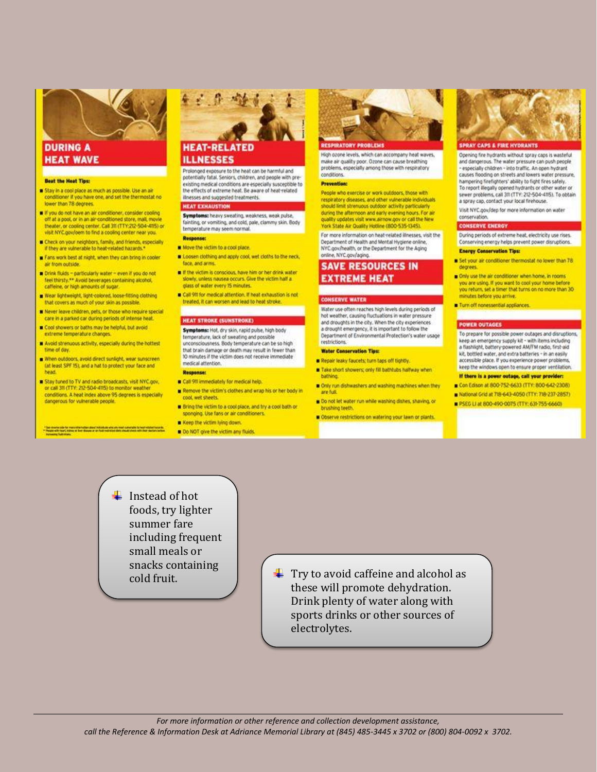

#### **Beat the Heat Tips:**

- Stay in a cool place as much as possible. Use an air conditioner if you have one, and set the thermostat no lower than 78 degrees.
- If you do not have an air conditioner, consider cooling off at a pool, or in an air-conditioned store, mall, movitheater, or cooling center. Call 3tl (TTY:212-504-4115) or visit NYC gov/oem to find a cooling center near you.
- Check on your neighbors, family, and friends, especially if they are vulnerable to heat-related hazards.
- Fans work best at night, when they can bring in cooler air from outside.
- Drink fluids particularly water even if you do not feel thirsty.\*\* Avoid beverages containing alcohol. caffeine, or high amounts of sugar.
- Wear lightweight, light-colored, loose-fitting clothing that covers as much of your skin as possible
- Never leave children, pets, or those who require special care in a parked car during periods of intense hea
- Cool showers or baths may be helpful, but avoid extreme temperature changes.
- Avoid strenuous activity, especially during the hottest time of day.
- When outdoors, avoid direct sunlight, wear sunscreen (at least SPF 15), and a hat to protect your face and head
- Stay tuned to TV and radio broadcasts, visit NYC.gov. or call 311 (TTY: 212-504-4115) to monitor weathe conditions. A heat index above 95 degrees is especially dangerous for vulnerable people.



# **ILLNESSES**

Prolonged exposure to the heat can be harmful and potentially fatal. Seniors, children, and people with preexisting medical conditions are especially susceptible to the effects of extreme heat. Be aware of heat-related illnesses and suggested treatments.

# **HEAT EXHAUSTION**

Symptoms: heavy sweating, weakness, weak pulse, fainting, or vomiting, and cold, pale, clammy skin. Body<br>temperature may seem normal. **Response:** 

- Move the victim to a cool place.
- Loosen clothing and apply cool, wet cloths to the neck, face, and arms.
- If the victim is conscious, have him or her drink water slowly, unless nausea occurs. Give the victim half a glass of water every 15 minutes.
- Call 9tt for medical attention. If heat exhaustion is not treated, it can worsen and lead to heat stroke.

### **HEAT STROKE (SUNSTROKE)**

Symptoms: Hot, dry skin, rapid pulse, high body temperature, lack of sweating and possible unconsciousness. Body temperature can be so high that brain damage or death may result in fewer than 10 minutes if the victim does not receive immediate medical attention. **Response:** 

- Call 911 immediately for medical help.
- Remove the victim's clothes and wrap his or her body in cool wet sheets.
- Bring the victim to a cool place, and try a cool bath or sponging. Use fans or air conditioners
- R Keep the victim lying down.
- Do NOT give the victim any fluids



High ozone levels, which can accompany heat waves, make air quality poor. Ozone can cause breathing problems, especially among those with respiratory conditions.

#### **Prevention:**

People who exercise or work outdoors, those with respiratory diseases, and other vulnerable individuals<br>should limit strenuous outdoor activity particularly during the afternoon and early evening hours. For air quality updates visit www.airnow.gov or call the New York State Air Quality Hotline (800-535-1345).

For more information on heat-related illnesses, visit the Department of Health and Mental Hygiene online, NYC.gov/health, or the Department for the Aging enline, NYC.gov/aging.

# **SAVE RESOURCES IN EXTREME HEAT**

#### **CONSERVE WATER**

Water use often reaches high levels during periods of hot weather, causing fluctuations in water pressure and droughts in the city. When the city experiences a drought emergency, it is important to follow the Department of Environmental Protection's water usage restrictions.

### **Water Conservation Tips:**

- Repair leaky faucets; turn taps off tightly. Take short showers; only fill bathtubs halfway when
- **Bathing** Only run dishwashers and washing machines when they
- are full Do not let water run while washing dishes, shaving, or
- brushing teeth. Observe restrictions on watering your lawn or plants.



Opening fire hydrants without spray caps is wasteful

and dangerous. The water pressure can push people - especially children - into traffic. An open hydrant causes flooding on streets and lowers water pressure, hampering firefighters' ability to fight fires safely.<br>To report illegally opened hydrants or other water or sewer problems, call 3ft (TTY: 212-504-4115). To obtain a spray cap, contact your local firehouse.

Visit NYC.gov/dep for more information on water conservation.

#### **CONSERVE ENERGY**

During periods of extreme heat, electricity use rises. Conserving energy helps prevent power disruptions. **Energy Conservation Tins:** 

- Set your air conditioner thermostat no lower than 78. degrees
- Only use the air conditioner when home, in rooms you are using. If you want to cool your home before you return, set a timer that turns on no more than 30. minutes before you arrive.
- Turn off nonessential appliances.

#### **POWER OUTAGES**

To prepare for possible power outages and disruptions, keep an emergency supply kit - with items including<br>a flashlight, battery-powered AM/FM radio, first-aid kit, bottled water, and extra batteries - in an easily accessible place. If you experience power problems keep the windows open to ensure proper ventilation.

# If there is a power outage, call your provider:

- Con Edison at 800-752-6633 (TTY: 800-642-2308) National Grid at 7t8-643-4050 (TTY: 7t8-237-2857)
- 
- PSEG LI at 800-490-0075 (TTY: 631-755-6660)

 $\frac{1}{\sqrt{2}}$  Instead of hot foods, try lighter summer fare including frequent small meals or snacks containing cold fruit.

Try to avoid caffeine and alcohol as these will promote dehydration. Drink plenty of water along with sports drinks or other sources of electrolytes.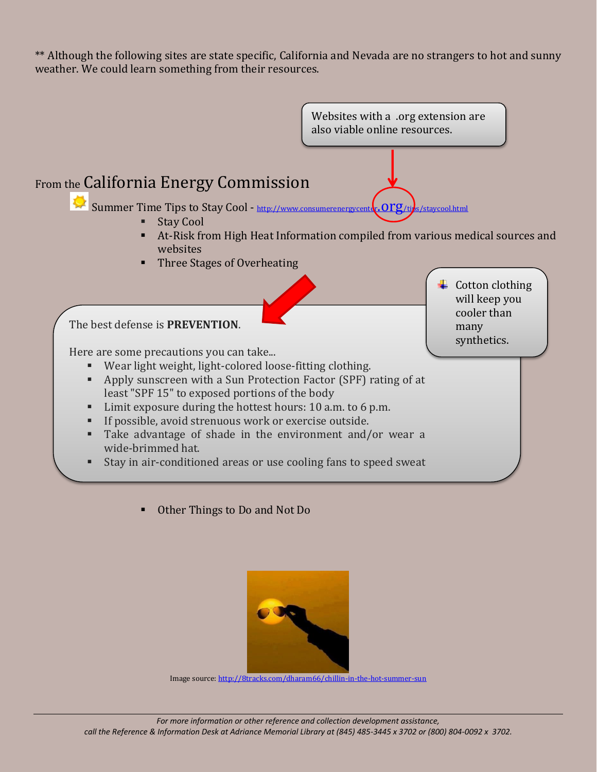\*\* Although the following sites are state specific, California and Nevada are no strangers to hot and sunny weather. We could learn something from their resources.



Other Things to Do and Not Do



Image source[: http://8tracks.com/dharam66/chillin-in-the-hot-summer-sun](http://8tracks.com/dharam66/chillin-in-the-hot-summer-sun)